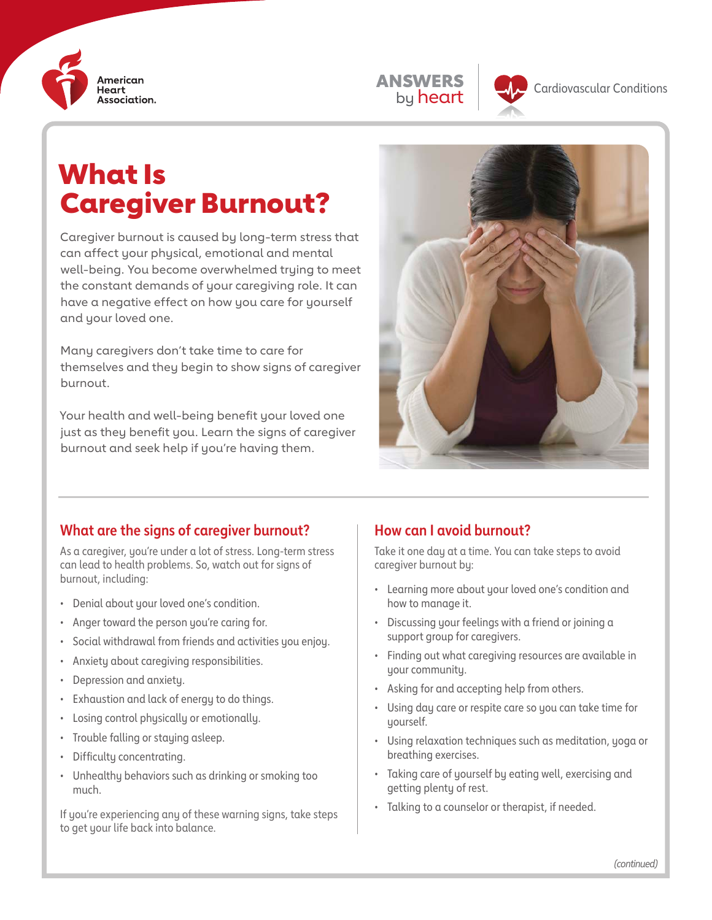





# What Is Caregiver Burnout?

Caregiver burnout is caused by long-term stress that can affect your physical, emotional and mental well-being. You become overwhelmed trying to meet the constant demands of your caregiving role. It can have a negative effect on how you care for yourself and your loved one.

Many caregivers don't take time to care for themselves and they begin to show signs of caregiver burnout.

Your health and well-being benefit your loved one just as they benefit you. Learn the signs of caregiver burnout and seek help if you're having them.



#### **What are the signs of caregiver burnout?**

As a caregiver, you're under a lot of stress. Long-term stress can lead to health problems. So, watch out for signs of burnout, including:

- Denial about your loved one's condition.
- Anger toward the person you're caring for.
- Social withdrawal from friends and activities you enjoy.
- Anxiety about caregiving responsibilities.
- Depression and anxiety.
- Exhaustion and lack of energy to do things.
- Losing control physically or emotionally.
- Trouble falling or staying asleep.
- Difficulty concentrating.
- Unhealthy behaviors such as drinking or smoking too much.

If you're experiencing any of these warning signs, take steps to get your life back into balance.

#### **How can I avoid burnout?**

Take it one day at a time. You can take steps to avoid caregiver burnout by:

- Learning more about your loved one's condition and how to manage it.
- Discussing your feelings with a friend or joining a support group for caregivers.
- Finding out what caregiving resources are available in your community.
- Asking for and accepting help from others.
- Using day care or respite care so you can take time for yourself.
- Using relaxation techniques such as meditation, yoga or breathing exercises.
- Taking care of yourself by eating well, exercising and getting plenty of rest.
- Talking to a counselor or therapist, if needed.